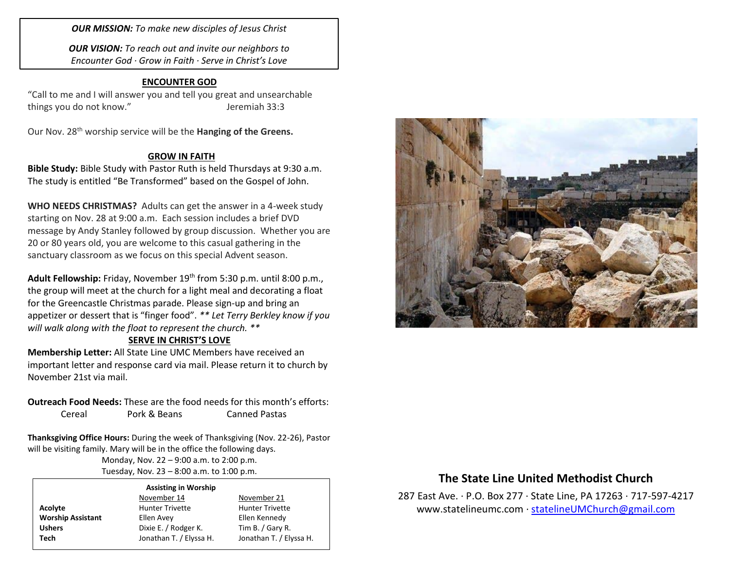*OUR MISSION: To make new disciples of Jesus Christ*

*OUR VISION: To reach out and invite our neighbors to Encounter God · Grow in Faith · Serve in Christ's Love*

## **ENCOUNTER GOD**

"Call to me and I will answer you and tell you great and unsearchable things you do not know." Same State States are things you do not know."

Our Nov. 28th worship service will be the **Hanging of the Greens.**

### **GROW IN FAITH**

**Bible Study:** Bible Study with Pastor Ruth is held Thursdays at 9:30 a.m. The study is entitled "Be Transformed" based on the Gospel of John.

**WHO NEEDS CHRISTMAS?** Adults can get the answer in a 4-week study starting on Nov. 28 at 9:00 a.m. Each session includes a brief DVD message by Andy Stanley followed by group discussion. Whether you are 20 or 80 years old, you are welcome to this casual gathering in the sanctuary classroom as we focus on this special Advent season.

**Adult Fellowship:** Friday, November 19th from 5:30 p.m. until 8:00 p.m., the group will meet at the church for a light meal and decorating a float for the Greencastle Christmas parade. Please sign-up and bring an appetizer or dessert that is "finger food". *\*\* Let Terry Berkley know if you will walk along with the float to represent the church. \*\**

### **SERVE IN CHRIST'S LOVE**

**Membership Letter:** All State Line UMC Members have received an important letter and response card via mail. Please return it to church by November 21st via mail.

**Outreach Food Needs:** These are the food needs for this month's efforts: Cereal Pork & Beans Canned Pastas

**Thanksgiving Office Hours:** During the week of Thanksgiving (Nov. 22-26), Pastor will be visiting family. Mary will be in the office the following days.

Monday, Nov. 22 – 9:00 a.m. to 2:00 p.m. Tuesday, Nov. 23 – 8:00 a.m. to 1:00 p.m.

#### **Assisting in Worship**

|                          | November 14             | November 21             |
|--------------------------|-------------------------|-------------------------|
| Acolyte                  | <b>Hunter Trivette</b>  | <b>Hunter Trivette</b>  |
| <b>Worship Assistant</b> | Ellen Avey              | Ellen Kennedy           |
| <b>Ushers</b>            | Dixie E. / Rodger K.    | Tim B. / Gary R.        |
| Tech                     | Jonathan T. / Elyssa H. | Jonathan T. / Elyssa H. |
|                          |                         |                         |



# **The State Line United Methodist Church**

287 East Ave. · P.O. Box 277 · State Line, PA 17263 · 717-597-4217 [www.statelineumc.com](http://www.statelineumc.com/) · [statelineUMChurch@gmail.com](mailto:statelineUMChurch@gmail.com)